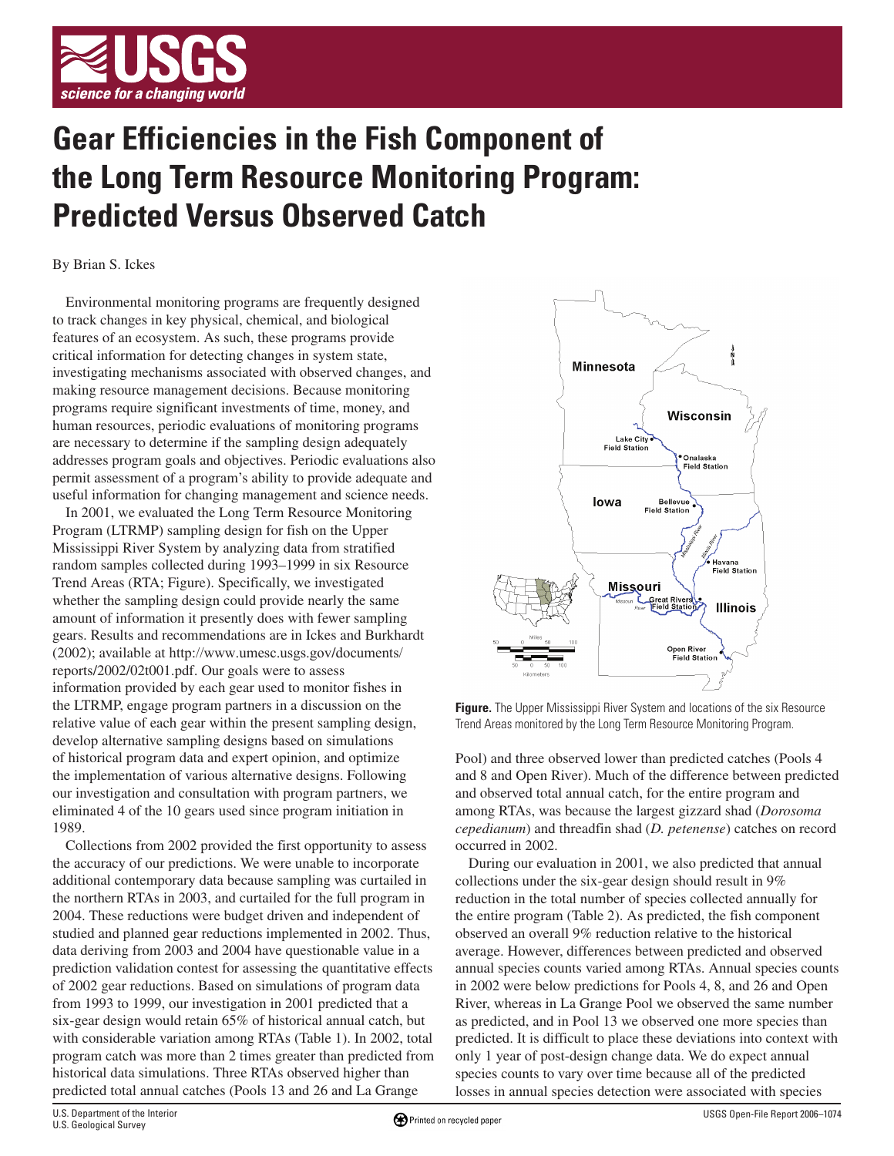

## **Gear Efficiencies in the Fish Component of the Long Term Resource Monitoring Program: Predicted Versus Observed Catch**

By Brian S. Ickes

Environmental monitoring programs are frequently designed to track changes in key physical, chemical, and biological features of an ecosystem. As such, these programs provide critical information for detecting changes in system state, investigating mechanisms associated with observed changes, and making resource management decisions. Because monitoring programs require significant investments of time, money, and human resources, periodic evaluations of monitoring programs are necessary to determine if the sampling design adequately addresses program goals and objectives. Periodic evaluations also permit assessment of a program's ability to provide adequate and useful information for changing management and science needs.

In 2001, we evaluated the Long Term Resource Monitoring Program (LTRMP) sampling design for fish on the Upper Mississippi River System by analyzing data from stratified random samples collected during 1993–1999 in six Resource Trend Areas (RTA; Figure). Specifically, we investigated whether the sampling design could provide nearly the same amount of information it presently does with fewer sampling gears. Results and recommendations are in Ickes and Burkhardt (2002); available at http://www.umesc.usgs.gov/documents/ reports/2002/02t001.pdf. Our goals were to assess information provided by each gear used to monitor fishes in the LTRMP, engage program partners in a discussion on the relative value of each gear within the present sampling design, develop alternative sampling designs based on simulations of historical program data and expert opinion, and optimize the implementation of various alternative designs. Following our investigation and consultation with program partners, we eliminated 4 of the 10 gears used since program initiation in 1989.

Collections from 2002 provided the first opportunity to assess the accuracy of our predictions. We were unable to incorporate additional contemporary data because sampling was curtailed in the northern RTAs in 2003, and curtailed for the full program in 2004. These reductions were budget driven and independent of studied and planned gear reductions implemented in 2002. Thus, data deriving from 2003 and 2004 have questionable value in a prediction validation contest for assessing the quantitative effects of 2002 gear reductions. Based on simulations of program data from 1993 to 1999, our investigation in 2001 predicted that a six-gear design would retain 65% of historical annual catch, but with considerable variation among RTAs (Table 1). In 2002, total program catch was more than 2 times greater than predicted from historical data simulations. Three RTAs observed higher than predicted total annual catches (Pools 13 and 26 and La Grange



**Figure.** The Upper Mississippi River System and locations of the six Resource Trend Areas monitored by the Long Term Resource Monitoring Program.

Pool) and three observed lower than predicted catches (Pools 4 and 8 and Open River). Much of the difference between predicted and observed total annual catch, for the entire program and among RTAs, was because the largest gizzard shad (*Dorosoma cepedianum*) and threadfin shad (*D. petenense*) catches on record occurred in 2002.

During our evaluation in 2001, we also predicted that annual collections under the six-gear design should result in 9% reduction in the total number of species collected annually for the entire program (Table 2). As predicted, the fish component observed an overall 9% reduction relative to the historical average. However, differences between predicted and observed annual species counts varied among RTAs. Annual species counts in 2002 were below predictions for Pools 4, 8, and 26 and Open River, whereas in La Grange Pool we observed the same number as predicted, and in Pool 13 we observed one more species than predicted. It is difficult to place these deviations into context with only 1 year of post-design change data. We do expect annual species counts to vary over time because all of the predicted losses in annual species detection were associated with species